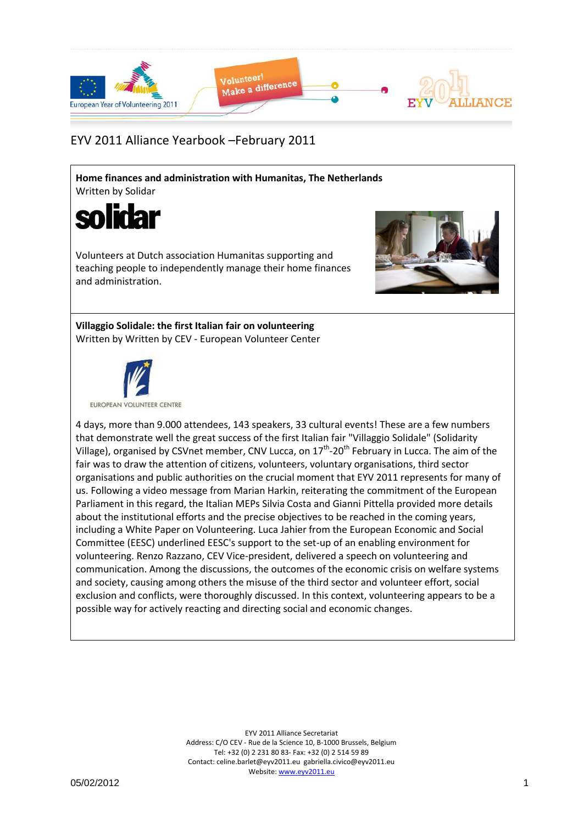

## EYV 2011 Alliance Yearbook –February 2011

**Home finances and administration with Humanitas, The Netherlands** Written by Solidar



Volunteers at Dutch association Humanitas supporting and teaching people to independently manage their home finances and administration.



**Villaggio Solidale: the first Italian fair on volunteering** Written by Written by CEV - European Volunteer Center



4 days, more than 9.000 attendees, 143 speakers, 33 cultural events! These are a few numbers that demonstrate well the great success of the first Italian fair "Villaggio Solidale" (Solidarity Village), organised by CSVnet member, CNV Lucca, on 17<sup>th</sup>-20<sup>th</sup> February in Lucca. The aim of the fair was to draw the attention of citizens, volunteers, voluntary organisations, third sector organisations and public authorities on the crucial moment that EYV 2011 represents for many of us. Following a video message from Marian Harkin, reiterating the commitment of the European Parliament in this regard, the Italian MEPs Silvia Costa and Gianni Pittella provided more details about the institutional efforts and the precise objectives to be reached in the coming years, including a White Paper on Volunteering. Luca Jahier from the European Economic and Social Committee (EESC) underlined EESC's support to the set-up of an enabling environment for volunteering. Renzo Razzano, CEV Vice-president, delivered a speech on volunteering and communication. Among the discussions, the outcomes of the economic crisis on welfare systems and society, causing among others the misuse of the third sector and volunteer effort, social exclusion and conflicts, were thoroughly discussed. In this context, volunteering appears to be a possible way for actively reacting and directing social and economic changes.

> EYV 2011 Alliance Secretariat Address: C/O CEV - Rue de la Science 10, B-1000 Brussels, Belgium Tel: +32 (0) 2 231 80 83- Fax: +32 (0) 2 514 59 89 Contact: celine.barlet@eyv2011.eu gabriella.civico@eyv2011.eu Website: www.eyv2011.eu